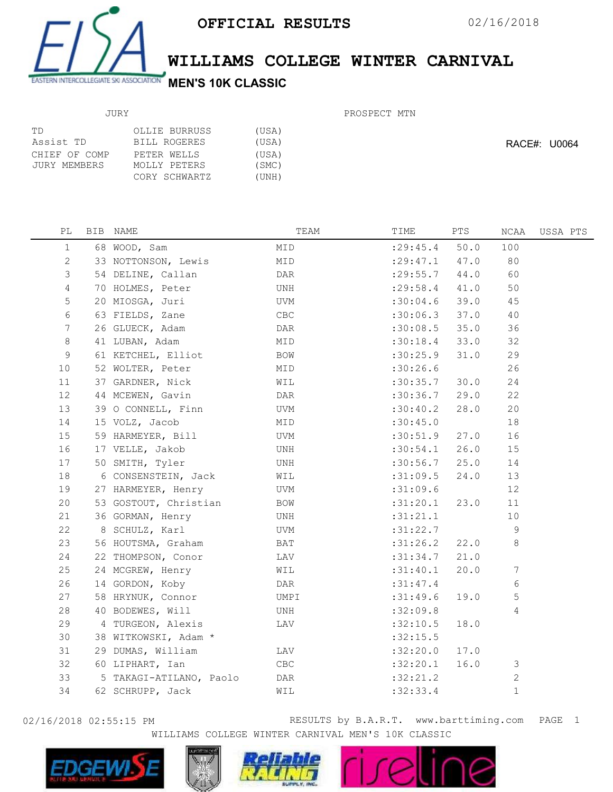

## WILLIAMS COLLEGE WINTER CARNIVAL

## JURY

## PROSPECT MTN

| ТD            | OLLIE BURRUSS | (USA) |
|---------------|---------------|-------|
| Assist TD     | BILL ROGERES  | (USA) |
| CHIEF OF COMP | PETER WELLS   | (USA) |
| JURY MEMBERS  | MOLLY PETERS  | (SMC) |
|               | CORY SCHWARTZ | (UNH) |
|               |               |       |

RACE#: U0064

| PL             | BIB NAME                | TEAM           | TIME       | PTS  | NCAA  | USSA PTS |
|----------------|-------------------------|----------------|------------|------|-------|----------|
| $\mathbf 1$    | 68 WOOD, Sam            | MID            | : 29: 45.4 | 50.0 | 100   |          |
| 2              | 33 NOTTONSON, Lewis     | MID            | : 29: 47.1 | 47.0 | 80    |          |
| $\mathfrak{Z}$ | 54 DELINE, Callan       | DAR            | : 29:55.7  | 44.0 | 60    |          |
| $\overline{4}$ | 70 HOLMES, Peter        | UNH            | : 29:58.4  | 41.0 | 50    |          |
| 5              | 20 MIOSGA, Juri         | UVM            | :30:04.6   | 39.0 | 45    |          |
| 6              | 63 FIELDS, Zane         | $\mathsf{CBC}$ | :30:06.3   | 37.0 | 40    |          |
| 7              | 26 GLUECK, Adam         | DAR            | :30:08.5   | 35.0 | 36    |          |
| 8              | 41 LUBAN, Adam          | MID            | :30:18.4   | 33.0 | 32    |          |
| 9              | 61 KETCHEL, Elliot      | BOW            | :30:25.9   | 31.0 | 29    |          |
| 10             | 52 WOLTER, Peter        | MID            | :30:26.6   |      | 26    |          |
| 11             | 37 GARDNER, Nick        | WIL            | :30:35.7   | 30.0 | 24    |          |
| 12             | 44 MCEWEN, Gavin        | DAR            | :30:36.7   | 29.0 | 22    |          |
| 13             | 39 O CONNELL, Finn      | UVM            | :30:40.2   | 28.0 | 20    |          |
| 14             | 15 VOLZ, Jacob          | MID            | :30:45.0   |      | 18    |          |
| 15             | 59 HARMEYER, Bill       | UVM            | :30:51.9   | 27.0 | 16    |          |
| 16             | 17 VELLE, Jakob         | UNH            | :30:54.1   | 26.0 | 15    |          |
| 17             | 50 SMITH, Tyler         | UNH            | :30:56.7   | 25.0 | 14    |          |
| 18             | 6 CONSENSTEIN, Jack     | WIL            | :31:09.5   | 24.0 | 13    |          |
| 19             | 27 HARMEYER, Henry      | UVM            | :31:09.6   |      | 12    |          |
| 20             | 53 GOSTOUT, Christian   | BOW            | :31:20.1   | 23.0 | 11    |          |
| 21             | 36 GORMAN, Henry        | UNH            | :31:21.1   |      | 10    |          |
| 22             | 8 SCHULZ, Karl          | UVM            | :31:22.7   |      | 9     |          |
| 23             | 56 HOUTSMA, Graham      | BAT            | :31:26.2   | 22.0 | 8     |          |
| 24             | 22 THOMPSON, Conor      | LAV            | :31:34.7   | 21.0 |       |          |
| 25             | 24 MCGREW, Henry        | WIL            | :31:40.1   | 20.0 | 7     |          |
| 26             | 14 GORDON, Koby         | DAR            | :31:47.4   |      | 6     |          |
| 27             | 58 HRYNUK, Connor       | UMPI           | :31:49.6   | 19.0 | 5     |          |
| 28             | 40 BODEWES, Will        | UNH            | :32:09.8   |      | 4     |          |
| 29             | 4 TURGEON, Alexis       | LAV            | :32:10.5   | 18.0 |       |          |
| 30             | 38 WITKOWSKI, Adam *    |                | :32:15.5   |      |       |          |
| 31             | 29 DUMAS, William       | LAV            | :32:20.0   | 17.0 |       |          |
| 32             | 60 LIPHART, Ian         | CBC            | :32:20.1   | 16.0 | 3     |          |
| 33             | 5 TAKAGI-ATILANO, Paolo | DAR            | :32:21.2   |      | 2     |          |
| 34             | 62 SCHRUPP, Jack        | WIL            | :32:33.4   |      | $1\,$ |          |
|                |                         |                |            |      |       |          |

02/16/2018 02:55:15 PM RESULTS by B.A.R.T. www.barttiming.com PAGE 1 WILLIAMS COLLEGE WINTER CARNIVAL MEN'S 10K CLASSIC